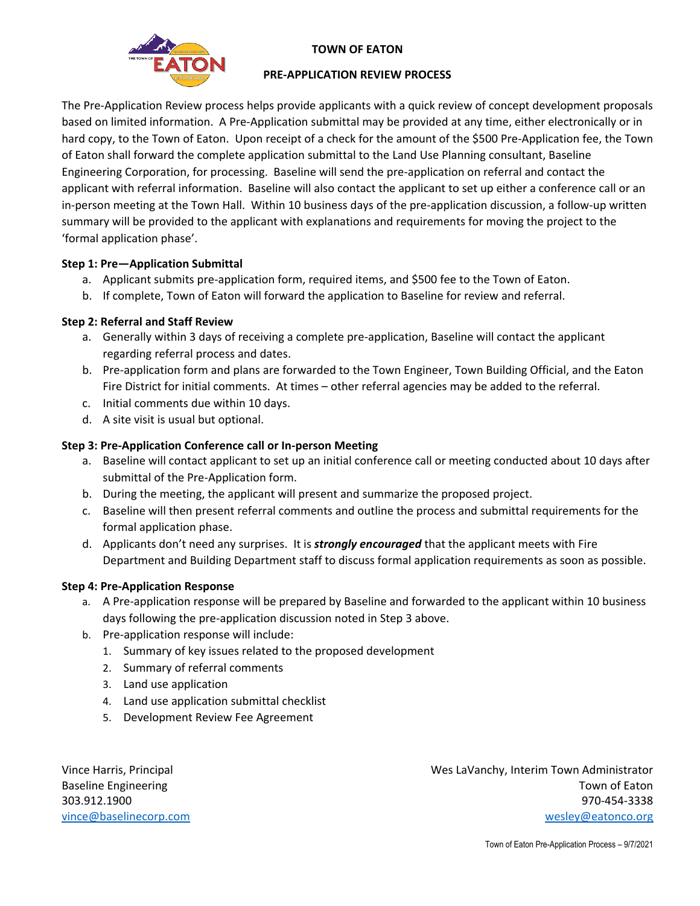

#### **TOWN OF EATON**

#### **PRE-APPLICATION REVIEW PROCESS**

The Pre-Application Review process helps provide applicants with a quick review of concept development proposals based on limited information. A Pre-Application submittal may be provided at any time, either electronically or in hard copy, to the Town of Eaton. Upon receipt of a check for the amount of the \$500 Pre-Application fee, the Town of Eaton shall forward the complete application submittal to the Land Use Planning consultant, Baseline Engineering Corporation, for processing. Baseline will send the pre-application on referral and contact the applicant with referral information. Baseline will also contact the applicant to set up either a conference call or an in-person meeting at the Town Hall. Within 10 business days of the pre-application discussion, a follow-up written summary will be provided to the applicant with explanations and requirements for moving the project to the 'formal application phase'.

### **Step 1: Pre—Application Submittal**

- a. Applicant submits pre-application form, required items, and \$500 fee to the Town of Eaton.
- b. If complete, Town of Eaton will forward the application to Baseline for review and referral.

#### **Step 2: Referral and Staff Review**

- a. Generally within 3 days of receiving a complete pre-application, Baseline will contact the applicant regarding referral process and dates.
- b. Pre-application form and plans are forwarded to the Town Engineer, Town Building Official, and the Eaton Fire District for initial comments. At times – other referral agencies may be added to the referral.
- c. Initial comments due within 10 days.
- d. A site visit is usual but optional.

#### **Step 3: Pre-Application Conference call or In-person Meeting**

- a. Baseline will contact applicant to set up an initial conference call or meeting conducted about 10 days after submittal of the Pre-Application form.
- b. During the meeting, the applicant will present and summarize the proposed project.
- c. Baseline will then present referral comments and outline the process and submittal requirements for the formal application phase.
- d. Applicants don't need any surprises. It is *strongly encouraged* that the applicant meets with Fire Department and Building Department staff to discuss formal application requirements as soon as possible.

#### **Step 4: Pre-Application Response**

- a. A Pre-application response will be prepared by Baseline and forwarded to the applicant within 10 business days following the pre-application discussion noted in Step 3 above.
- b. Pre-application response will include:
	- 1. Summary of key issues related to the proposed development
	- 2. Summary of referral comments
	- 3. Land use application
	- 4. Land use application submittal checklist
	- 5. Development Review Fee Agreement

Vince Harris, Principal Wes LaVanchy, Interim Town Administrator Baseline Engineering Town of Eaton and the Baseline Engineering Town of Eaton and the Baseline Engineering Town of Eaton 303.912.1900 970-454-3338 [vince@baselinecorp.com](mailto:vince@baselinecorp.com) [wesley@eatonco.org](mailto:wesley@eatonco.org)

Town of Eaton Pre-Application Process – 9/7/2021